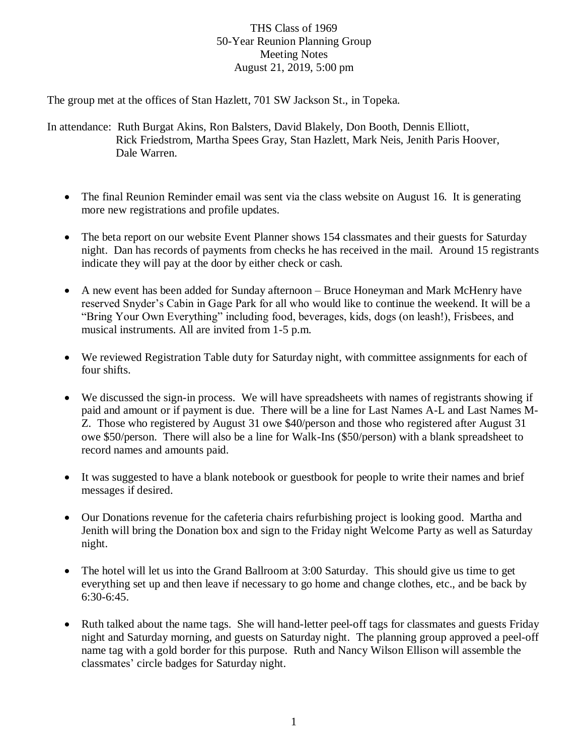## THS Class of 1969 50-Year Reunion Planning Group Meeting Notes August 21, 2019, 5:00 pm

The group met at the offices of Stan Hazlett, 701 SW Jackson St., in Topeka.

In attendance: Ruth Burgat Akins, Ron Balsters, David Blakely, Don Booth, Dennis Elliott, Rick Friedstrom, Martha Spees Gray, Stan Hazlett, Mark Neis, Jenith Paris Hoover, Dale Warren.

- The final Reunion Reminder email was sent via the class website on August 16. It is generating more new registrations and profile updates.
- The beta report on our website Event Planner shows 154 classmates and their guests for Saturday night. Dan has records of payments from checks he has received in the mail. Around 15 registrants indicate they will pay at the door by either check or cash.
- A new event has been added for Sunday afternoon Bruce Honeyman and Mark McHenry have reserved Snyder's Cabin in Gage Park for all who would like to continue the weekend. It will be a "Bring Your Own Everything" including food, beverages, kids, dogs (on leash!), Frisbees, and musical instruments. All are invited from 1-5 p.m.
- We reviewed Registration Table duty for Saturday night, with committee assignments for each of four shifts.
- We discussed the sign-in process. We will have spreadsheets with names of registrants showing if paid and amount or if payment is due. There will be a line for Last Names A-L and Last Names M-Z. Those who registered by August 31 owe \$40/person and those who registered after August 31 owe \$50/person. There will also be a line for Walk-Ins (\$50/person) with a blank spreadsheet to record names and amounts paid.
- It was suggested to have a blank notebook or guestbook for people to write their names and brief messages if desired.
- Our Donations revenue for the cafeteria chairs refurbishing project is looking good. Martha and Jenith will bring the Donation box and sign to the Friday night Welcome Party as well as Saturday night.
- The hotel will let us into the Grand Ballroom at 3:00 Saturday. This should give us time to get everything set up and then leave if necessary to go home and change clothes, etc., and be back by 6:30-6:45.
- Ruth talked about the name tags. She will hand-letter peel-off tags for classmates and guests Friday night and Saturday morning, and guests on Saturday night. The planning group approved a peel-off name tag with a gold border for this purpose. Ruth and Nancy Wilson Ellison will assemble the classmates' circle badges for Saturday night.